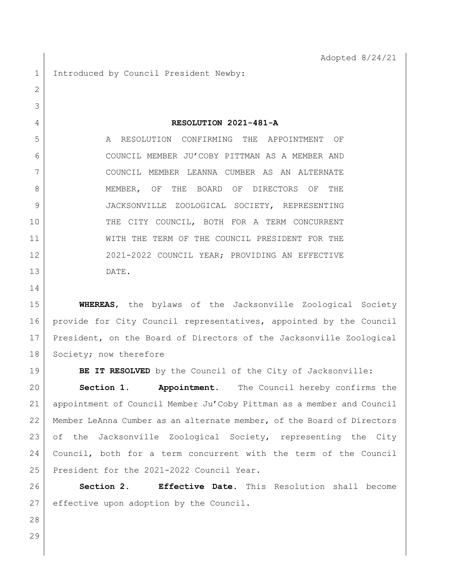1 Introduced by Council President Newby:

**RESOLUTION 2021-481-A**

 A RESOLUTION CONFIRMING THE APPOINTMENT OF COUNCIL MEMBER JU'COBY PITTMAN AS A MEMBER AND COUNCIL MEMBER LEANNA CUMBER AS AN ALTERNATE MEMBER, OF THE BOARD OF DIRECTORS OF THE JACKSONVILLE ZOOLOGICAL SOCIETY, REPRESENTING THE CITY COUNCIL, BOTH FOR A TERM CONCURRENT WITH THE TERM OF THE COUNCIL PRESIDENT FOR THE 12 2021-2022 COUNCIL YEAR; PROVIDING AN EFFECTIVE DATE.

 **WHEREAS**, the bylaws of the Jacksonville Zoological Society provide for City Council representatives, appointed by the Council President, on the Board of Directors of the Jacksonville Zoological 18 Society; now therefore

**BE IT RESOLVED** by the Council of the City of Jacksonville:

 **Section 1. Appointment.** The Council hereby confirms the appointment of Council Member Ju'Coby Pittman as a member and Council Member LeAnna Cumber as an alternate member, of the Board of Directors of the Jacksonville Zoological Society, representing the City Council, both for a term concurrent with the term of the Council 25 President for the 2021-2022 Council Year.

 **Section 2. Effective Date.** This Resolution shall become effective upon adoption by the Council.

- 
-